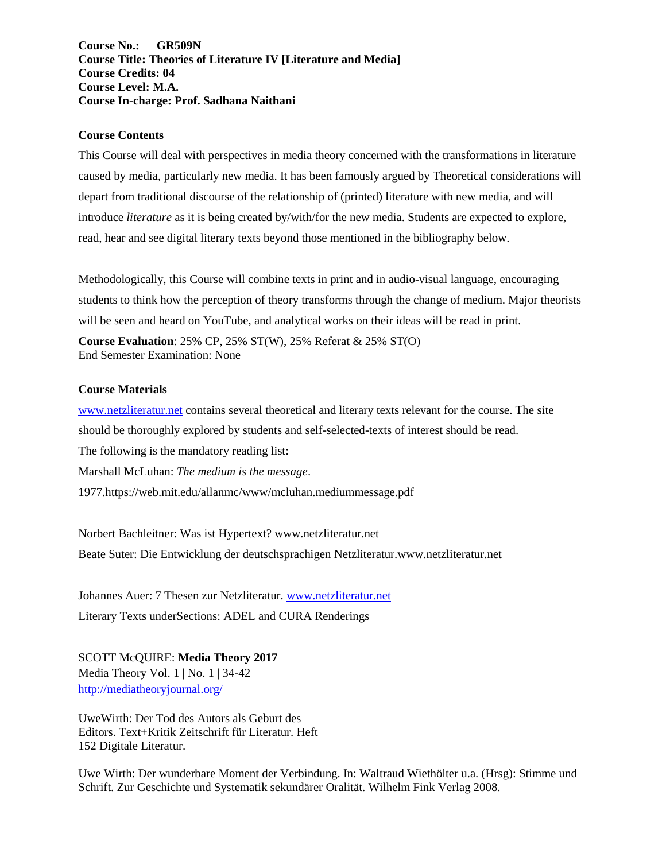**Course No.: GR509N Course Title: Theories of Literature IV [Literature and Media] Course Credits: 04 Course Level: M.A. Course In-charge: Prof. Sadhana Naithani**

#### **Course Contents**

This Course will deal with perspectives in media theory concerned with the transformations in literature caused by media, particularly new media. It has been famously argued by Theoretical considerations will depart from traditional discourse of the relationship of (printed) literature with new media, and will introduce *literature* as it is being created by/with/for the new media. Students are expected to explore, read, hear and see digital literary texts beyond those mentioned in the bibliography below.

Methodologically, this Course will combine texts in print and in audio-visual language, encouraging students to think how the perception of theory transforms through the change of medium. Major theorists will be seen and heard on YouTube, and analytical works on their ideas will be read in print. **Course Evaluation**: 25% CP, 25% ST(W), 25% Referat & 25% ST(O) End Semester Examination: None

#### **Course Materials**

[www.netzliteratur.net](http://www.netzliteratur.net/) contains several theoretical and literary texts relevant for the course. The site should be thoroughly explored by students and self-selected-texts of interest should be read. The following is the mandatory reading list: Marshall McLuhan: *The medium is the message*. 1977.https://web.mit.edu/allanmc/www/mcluhan.mediummessage.pdf

Norbert Bachleitner: Was ist Hypertext? www.netzliteratur.net Beate Suter: Die Entwicklung der deutschsprachigen Netzliteratur.www.netzliteratur.net

Johannes Auer: 7 Thesen zur Netzliteratur. [www.netzliteratur.net](http://www.netzliteratur.net/) Literary Texts underSections: ADEL and CURA Renderings

SCOTT McQUIRE: **Media Theory 2017** Media Theory Vol. 1 | No. 1 | 34-42 <http://mediatheoryjournal.org/>

UweWirth: Der Tod des Autors als Geburt des Editors. Text+Kritik Zeitschrift für Literatur. Heft 152 Digitale Literatur.

Uwe Wirth: Der wunderbare Moment der Verbindung. In: Waltraud Wiethölter u.a. (Hrsg): Stimme und Schrift. Zur Geschichte und Systematik sekundärer Oralität. Wilhelm Fink Verlag 2008.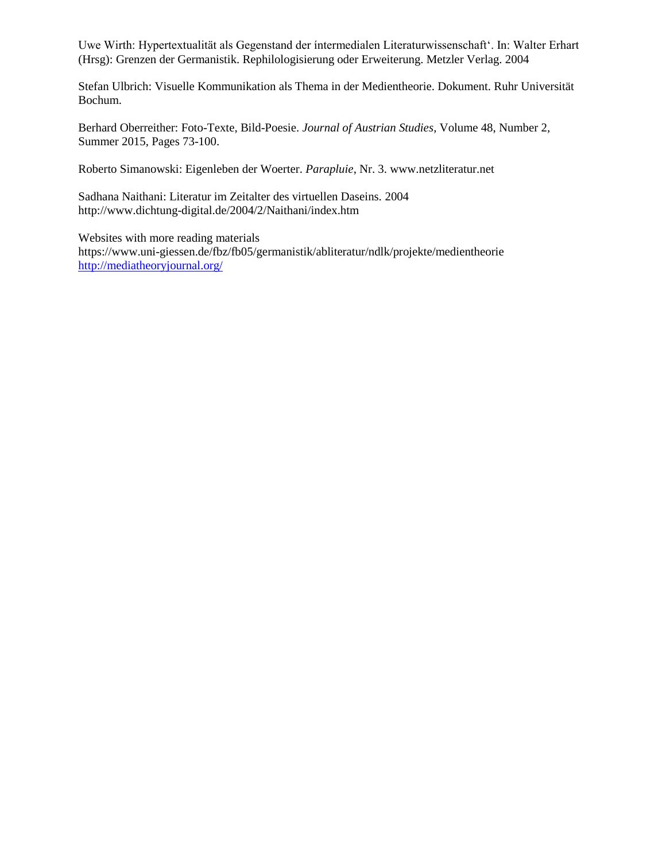Uwe Wirth: Hypertextualität als Gegenstand der íntermedialen Literaturwissenschaft'. In: Walter Erhart (Hrsg): Grenzen der Germanistik. Rephilologisierung oder Erweiterung. Metzler Verlag. 2004

Stefan Ulbrich: Visuelle Kommunikation als Thema in der Medientheorie. Dokument. Ruhr Universität Bochum.

Berhard Oberreither: Foto-Texte, Bild-Poesie. *Journal of Austrian Studies*, Volume 48, Number 2, Summer 2015, Pages 73-100.

Roberto Simanowski: Eigenleben der Woerter. *Parapluie*, Nr. 3. www.netzliteratur.net

Sadhana Naithani: Literatur im Zeitalter des virtuellen Daseins. 2004 http://www.dichtung-digital.de/2004/2/Naithani/index.htm

Websites with more reading materials https://www.uni-giessen.de/fbz/fb05/germanistik/abliteratur/ndlk/projekte/medientheorie <http://mediatheoryjournal.org/>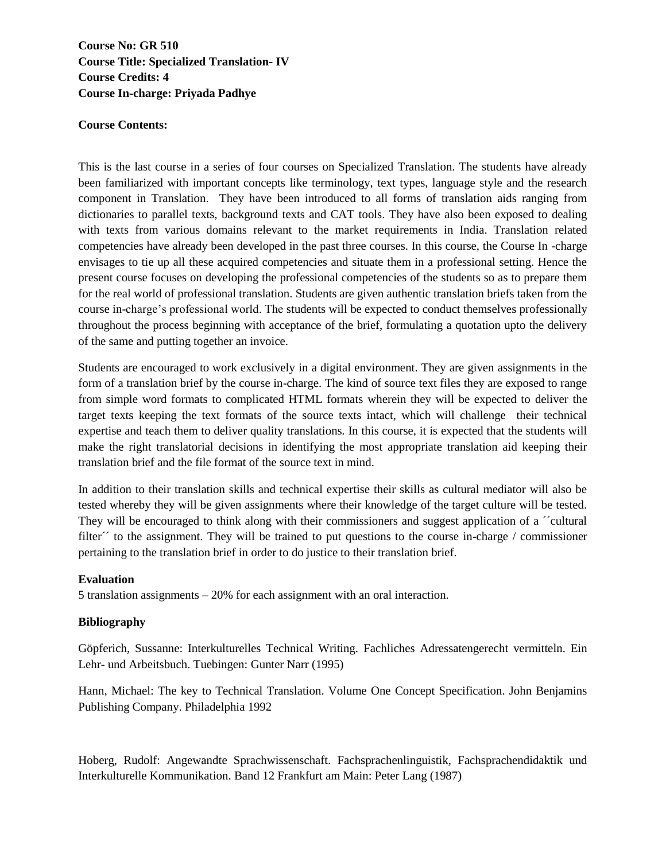**Course No: GR 510 Course Title: Specialized Translation- IV Course Credits: 4 Course In-charge: Priyada Padhye**

### **Course Contents:**

This is the last course in a series of four courses on Specialized Translation. The students have already been familiarized with important concepts like terminology, text types, language style and the research component in Translation. They have been introduced to all forms of translation aids ranging from dictionaries to parallel texts, background texts and CAT tools. They have also been exposed to dealing with texts from various domains relevant to the market requirements in India. Translation related competencies have already been developed in the past three courses. In this course, the Course In -charge envisages to tie up all these acquired competencies and situate them in a professional setting. Hence the present course focuses on developing the professional competencies of the students so as to prepare them for the real world of professional translation. Students are given authentic translation briefs taken from the course in-charge's professional world. The students will be expected to conduct themselves professionally throughout the process beginning with acceptance of the brief, formulating a quotation upto the delivery of the same and putting together an invoice.

Students are encouraged to work exclusively in a digital environment. They are given assignments in the form of a translation brief by the course in-charge. The kind of source text files they are exposed to range from simple word formats to complicated HTML formats wherein they will be expected to deliver the target texts keeping the text formats of the source texts intact, which will challenge their technical expertise and teach them to deliver quality translations. In this course, it is expected that the students will make the right translatorial decisions in identifying the most appropriate translation aid keeping their translation brief and the file format of the source text in mind.

In addition to their translation skills and technical expertise their skills as cultural mediator will also be tested whereby they will be given assignments where their knowledge of the target culture will be tested. They will be encouraged to think along with their commissioners and suggest application of a ´´cultural filter´´ to the assignment. They will be trained to put questions to the course in-charge / commissioner pertaining to the translation brief in order to do justice to their translation brief.

### **Evaluation**

5 translation assignments – 20% for each assignment with an oral interaction.

### **Bibliography**

Göpferich, Sussanne: Interkulturelles Technical Writing. Fachliches Adressatengerecht vermitteln. Ein Lehr- und Arbeitsbuch. Tuebingen: Gunter Narr (1995)

Hann, Michael: The key to Technical Translation. Volume One Concept Specification. John Benjamins Publishing Company. Philadelphia 1992

Hoberg, Rudolf: Angewandte Sprachwissenschaft. Fachsprachenlinguistik, Fachsprachendidaktik und Interkulturelle Kommunikation. Band 12 Frankfurt am Main: Peter Lang (1987)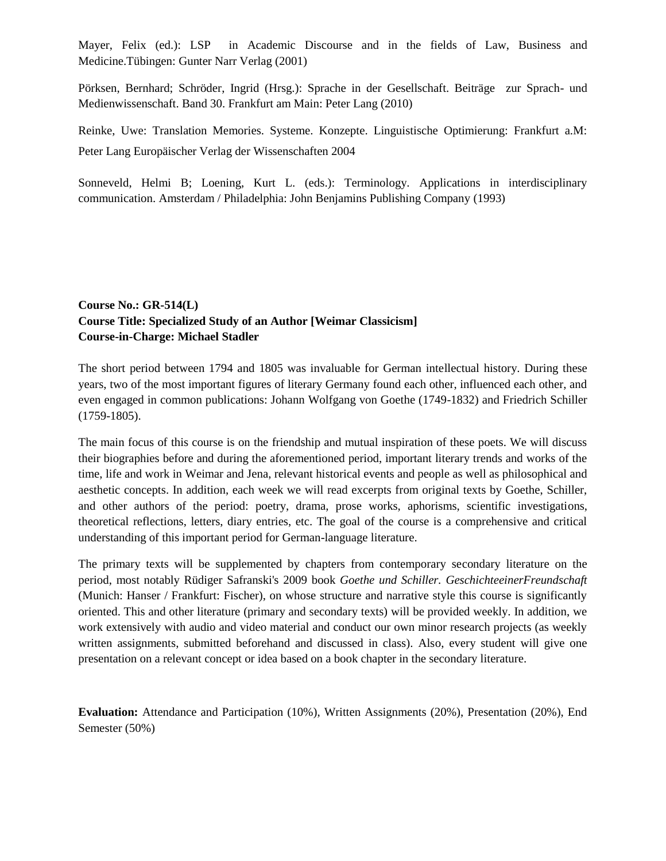Mayer, Felix (ed.): LSP in Academic Discourse and in the fields of Law, Business and Medicine.Tübingen: Gunter Narr Verlag (2001)

Pörksen, Bernhard; Schröder, Ingrid (Hrsg.): Sprache in der Gesellschaft. Beiträge zur Sprach- und Medienwissenschaft. Band 30. Frankfurt am Main: Peter Lang (2010)

Reinke, Uwe: Translation Memories. Systeme. Konzepte. Linguistische Optimierung: Frankfurt a.M: Peter Lang Europäischer Verlag der Wissenschaften 2004

Sonneveld, Helmi B; Loening, Kurt L. (eds.): Terminology. Applications in interdisciplinary communication. Amsterdam / Philadelphia: John Benjamins Publishing Company (1993)

## **Course No.: GR-514(L) Course Title: Specialized Study of an Author [Weimar Classicism] Course-in-Charge: Michael Stadler**

The short period between 1794 and 1805 was invaluable for German intellectual history. During these years, two of the most important figures of literary Germany found each other, influenced each other, and even engaged in common publications: Johann Wolfgang von Goethe (1749-1832) and Friedrich Schiller (1759-1805).

The main focus of this course is on the friendship and mutual inspiration of these poets. We will discuss their biographies before and during the aforementioned period, important literary trends and works of the time, life and work in Weimar and Jena, relevant historical events and people as well as philosophical and aesthetic concepts. In addition, each week we will read excerpts from original texts by Goethe, Schiller, and other authors of the period: poetry, drama, prose works, aphorisms, scientific investigations, theoretical reflections, letters, diary entries, etc. The goal of the course is a comprehensive and critical understanding of this important period for German-language literature.

The primary texts will be supplemented by chapters from contemporary secondary literature on the period, most notably Rüdiger Safranski's 2009 book *Goethe und Schiller. GeschichteeinerFreundschaft* (Munich: Hanser / Frankfurt: Fischer), on whose structure and narrative style this course is significantly oriented. This and other literature (primary and secondary texts) will be provided weekly. In addition, we work extensively with audio and video material and conduct our own minor research projects (as weekly written assignments, submitted beforehand and discussed in class). Also, every student will give one presentation on a relevant concept or idea based on a book chapter in the secondary literature.

**Evaluation:** Attendance and Participation (10%), Written Assignments (20%), Presentation (20%), End Semester (50%)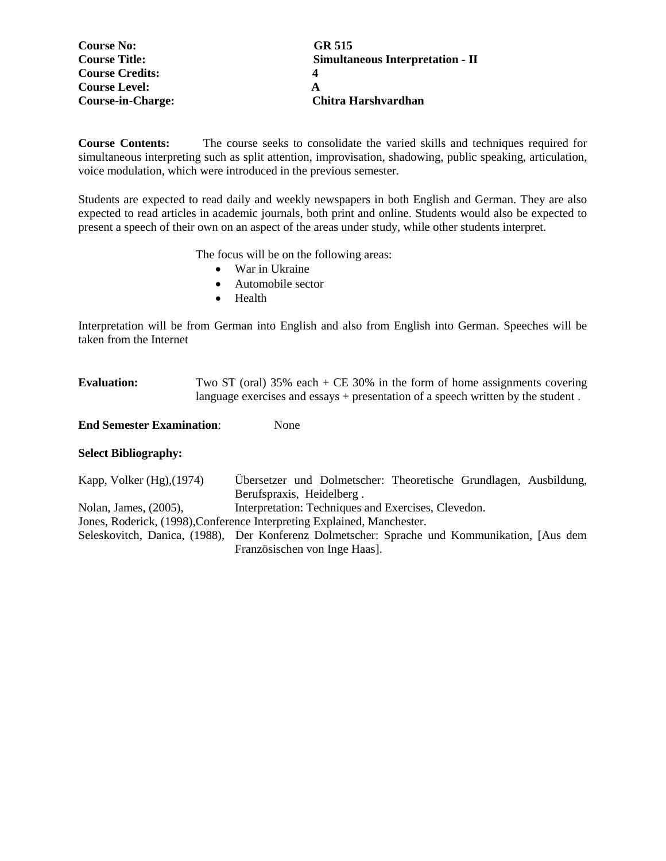| <b>Course No:</b>        | GR 515                                  |
|--------------------------|-----------------------------------------|
| <b>Course Title:</b>     | <b>Simultaneous Interpretation - II</b> |
| <b>Course Credits:</b>   |                                         |
| <b>Course Level:</b>     |                                         |
| <b>Course-in-Charge:</b> | Chitra Harshvardhan                     |

**Course Contents:** The course seeks to consolidate the varied skills and techniques required for simultaneous interpreting such as split attention, improvisation, shadowing, public speaking, articulation, voice modulation, which were introduced in the previous semester.

Students are expected to read daily and weekly newspapers in both English and German. They are also expected to read articles in academic journals, both print and online. Students would also be expected to present a speech of their own on an aspect of the areas under study, while other students interpret.

The focus will be on the following areas:

- War in Ukraine
- Automobile sector
- Health

Interpretation will be from German into English and also from English into German. Speeches will be taken from the Internet

Evaluation: Two ST (oral) 35% each + CE 30% in the form of home assignments covering language exercises and essays + presentation of a speech written by the student.

**End Semester Examination**: None

#### **Select Bibliography:**

Kapp, Volker (Hg),(1974) Übersetzer und Dolmetscher: Theoretische Grundlagen, Ausbildung, Berufspraxis, Heidelberg . Nolan, James, (2005), Interpretation: Techniques and Exercises, Clevedon. Jones, Roderick, (1998),Conference Interpreting Explained, Manchester. Seleskovitch, Danica, (1988), Der Konferenz Dolmetscher: Sprache und Kommunikation, [Aus dem Französischen von Inge Haas].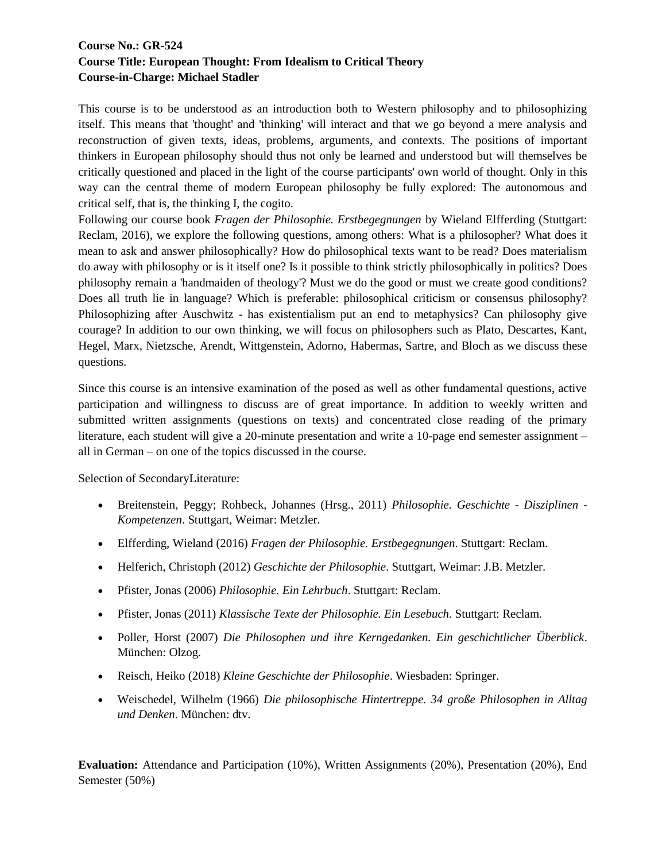# **Course No.: GR-524 Course Title: European Thought: From Idealism to Critical Theory Course-in-Charge: Michael Stadler**

This course is to be understood as an introduction both to Western philosophy and to philosophizing itself. This means that 'thought' and 'thinking' will interact and that we go beyond a mere analysis and reconstruction of given texts, ideas, problems, arguments, and contexts. The positions of important thinkers in European philosophy should thus not only be learned and understood but will themselves be critically questioned and placed in the light of the course participants' own world of thought. Only in this way can the central theme of modern European philosophy be fully explored: The autonomous and critical self, that is, the thinking I, the cogito.

Following our course book *Fragen der Philosophie. Erstbegegnungen* by Wieland Elfferding (Stuttgart: Reclam, 2016), we explore the following questions, among others: What is a philosopher? What does it mean to ask and answer philosophically? How do philosophical texts want to be read? Does materialism do away with philosophy or is it itself one? Is it possible to think strictly philosophically in politics? Does philosophy remain a 'handmaiden of theology'? Must we do the good or must we create good conditions? Does all truth lie in language? Which is preferable: philosophical criticism or consensus philosophy? Philosophizing after Auschwitz - has existentialism put an end to metaphysics? Can philosophy give courage? In addition to our own thinking, we will focus on philosophers such as Plato, Descartes, Kant, Hegel, Marx, Nietzsche, Arendt, Wittgenstein, Adorno, Habermas, Sartre, and Bloch as we discuss these questions.

Since this course is an intensive examination of the posed as well as other fundamental questions, active participation and willingness to discuss are of great importance. In addition to weekly written and submitted written assignments (questions on texts) and concentrated close reading of the primary literature, each student will give a 20-minute presentation and write a 10-page end semester assignment – all in German – on one of the topics discussed in the course.

Selection of SecondaryLiterature:

- Breitenstein, Peggy; Rohbeck, Johannes (Hrsg., 2011) *Philosophie. Geschichte - Disziplinen - Kompetenzen*. Stuttgart, Weimar: Metzler.
- Elfferding, Wieland (2016) *Fragen der Philosophie. Erstbegegnungen*. Stuttgart: Reclam.
- Helferich, Christoph (2012) *Geschichte der Philosophie*. Stuttgart, Weimar: J.B. Metzler.
- Pfister, Jonas (2006) *Philosophie. Ein Lehrbuch*. Stuttgart: Reclam.
- Pfister, Jonas (2011) *Klassische Texte der Philosophie. Ein Lesebuch*. Stuttgart: Reclam.
- Poller, Horst (2007) *Die Philosophen und ihre Kerngedanken. Ein geschichtlicher Überblick*. München: Olzog.
- Reisch, Heiko (2018) *Kleine Geschichte der Philosophie*. Wiesbaden: Springer.
- Weischedel, Wilhelm (1966) *Die philosophische Hintertreppe. 34 große Philosophen in Alltag und Denken*. München: dtv.

**Evaluation:** Attendance and Participation (10%), Written Assignments (20%), Presentation (20%), End Semester (50%)